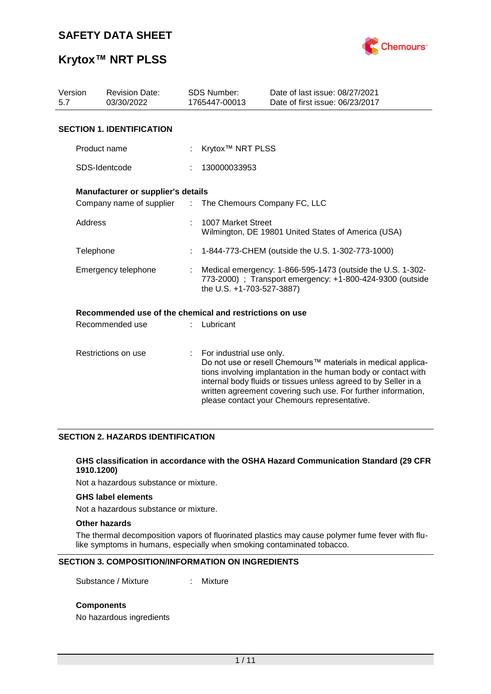

# **Krytox™ NRT PLSS**

| Version<br>5.7      | <b>Revision Date:</b><br>03/30/2022                     |   | <b>SDS Number:</b><br>1765447-00013                                                                                                                  | Date of last issue: 08/27/2021<br>Date of first issue: 06/23/2017                                                                                                                                                                                                                                                  |  |  |  |  |
|---------------------|---------------------------------------------------------|---|------------------------------------------------------------------------------------------------------------------------------------------------------|--------------------------------------------------------------------------------------------------------------------------------------------------------------------------------------------------------------------------------------------------------------------------------------------------------------------|--|--|--|--|
|                     | <b>SECTION 1. IDENTIFICATION</b>                        |   |                                                                                                                                                      |                                                                                                                                                                                                                                                                                                                    |  |  |  |  |
|                     | Product name                                            |   | Krytox <sup>™</sup> NRT PLSS                                                                                                                         |                                                                                                                                                                                                                                                                                                                    |  |  |  |  |
|                     | SDS-Identcode                                           |   | 130000033953                                                                                                                                         |                                                                                                                                                                                                                                                                                                                    |  |  |  |  |
|                     | Manufacturer or supplier's details                      |   |                                                                                                                                                      |                                                                                                                                                                                                                                                                                                                    |  |  |  |  |
|                     | Company name of supplier                                |   | : The Chemours Company FC, LLC                                                                                                                       |                                                                                                                                                                                                                                                                                                                    |  |  |  |  |
| Address             |                                                         |   | 1007 Market Street<br>Wilmington, DE 19801 United States of America (USA)                                                                            |                                                                                                                                                                                                                                                                                                                    |  |  |  |  |
| Telephone           |                                                         | t | 1-844-773-CHEM (outside the U.S. 1-302-773-1000)                                                                                                     |                                                                                                                                                                                                                                                                                                                    |  |  |  |  |
| Emergency telephone |                                                         |   | Medical emergency: 1-866-595-1473 (outside the U.S. 1-302-<br>773-2000) ; Transport emergency: +1-800-424-9300 (outside<br>the U.S. +1-703-527-3887) |                                                                                                                                                                                                                                                                                                                    |  |  |  |  |
|                     | Recommended use of the chemical and restrictions on use |   |                                                                                                                                                      |                                                                                                                                                                                                                                                                                                                    |  |  |  |  |
| Recommended use     |                                                         |   | Lubricant                                                                                                                                            |                                                                                                                                                                                                                                                                                                                    |  |  |  |  |
| Restrictions on use |                                                         |   | For industrial use only.                                                                                                                             | Do not use or resell Chemours™ materials in medical applica-<br>tions involving implantation in the human body or contact with<br>internal body fluids or tissues unless agreed to by Seller in a<br>written agreement covering such use. For further information,<br>please contact your Chemours representative. |  |  |  |  |

#### **SECTION 2. HAZARDS IDENTIFICATION**

#### **GHS classification in accordance with the OSHA Hazard Communication Standard (29 CFR 1910.1200)**

Not a hazardous substance or mixture.

#### **GHS label elements**

Not a hazardous substance or mixture.

#### **Other hazards**

The thermal decomposition vapors of fluorinated plastics may cause polymer fume fever with flulike symptoms in humans, especially when smoking contaminated tobacco.

#### **SECTION 3. COMPOSITION/INFORMATION ON INGREDIENTS**

Substance / Mixture : Mixture

#### **Components**

No hazardous ingredients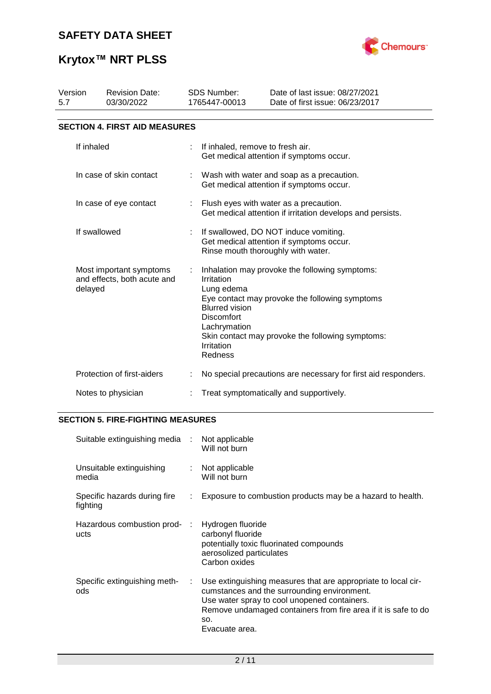

# **Krytox™ NRT PLSS**

| Version<br>5.7                                                    | <b>Revision Date:</b><br>03/30/2022  |  | <b>SDS Number:</b><br>1765447-00013                                                                                     | Date of last issue: 08/27/2021<br>Date of first issue: 06/23/2017                                                                                    |  |  |  |  |
|-------------------------------------------------------------------|--------------------------------------|--|-------------------------------------------------------------------------------------------------------------------------|------------------------------------------------------------------------------------------------------------------------------------------------------|--|--|--|--|
|                                                                   | <b>SECTION 4. FIRST AID MEASURES</b> |  |                                                                                                                         |                                                                                                                                                      |  |  |  |  |
|                                                                   | If inhaled                           |  | If inhaled, remove to fresh air.                                                                                        | Get medical attention if symptoms occur.                                                                                                             |  |  |  |  |
|                                                                   | In case of skin contact              |  |                                                                                                                         | Wash with water and soap as a precaution.<br>Get medical attention if symptoms occur.                                                                |  |  |  |  |
|                                                                   | In case of eye contact               |  | : Flush eyes with water as a precaution.<br>Get medical attention if irritation develops and persists.                  |                                                                                                                                                      |  |  |  |  |
| If swallowed                                                      |                                      |  | If swallowed, DO NOT induce vomiting.<br>Get medical attention if symptoms occur.<br>Rinse mouth thoroughly with water. |                                                                                                                                                      |  |  |  |  |
| Most important symptoms<br>and effects, both acute and<br>delayed |                                      |  | Irritation<br>Lung edema<br><b>Blurred vision</b><br><b>Discomfort</b><br>Lachrymation<br>Irritation<br>Redness         | Inhalation may provoke the following symptoms:<br>Eye contact may provoke the following symptoms<br>Skin contact may provoke the following symptoms: |  |  |  |  |
|                                                                   | Protection of first-aiders           |  |                                                                                                                         | No special precautions are necessary for first aid responders.                                                                                       |  |  |  |  |
| Notes to physician                                                |                                      |  |                                                                                                                         | Treat symptomatically and supportively.                                                                                                              |  |  |  |  |

### **SECTION 5. FIRE-FIGHTING MEASURES**

| Suitable extinguishing media :           |                            | Not applicable<br>Will not burn                                                                                                                                                                                                                         |
|------------------------------------------|----------------------------|---------------------------------------------------------------------------------------------------------------------------------------------------------------------------------------------------------------------------------------------------------|
| Unsuitable extinguishing<br>media        | $\mathcal{L}^{\text{max}}$ | Not applicable<br>Will not burn                                                                                                                                                                                                                         |
| Specific hazards during fire<br>fighting | ÷.                         | Exposure to combustion products may be a hazard to health.                                                                                                                                                                                              |
| Hazardous combustion prod- :<br>ucts     |                            | Hydrogen fluoride<br>carbonyl fluoride<br>potentially toxic fluorinated compounds<br>aerosolized particulates<br>Carbon oxides                                                                                                                          |
| Specific extinguishing meth-<br>ods      |                            | Use extinguishing measures that are appropriate to local cir-<br>cumstances and the surrounding environment.<br>Use water spray to cool unopened containers.<br>Remove undamaged containers from fire area if it is safe to do<br>SO.<br>Evacuate area. |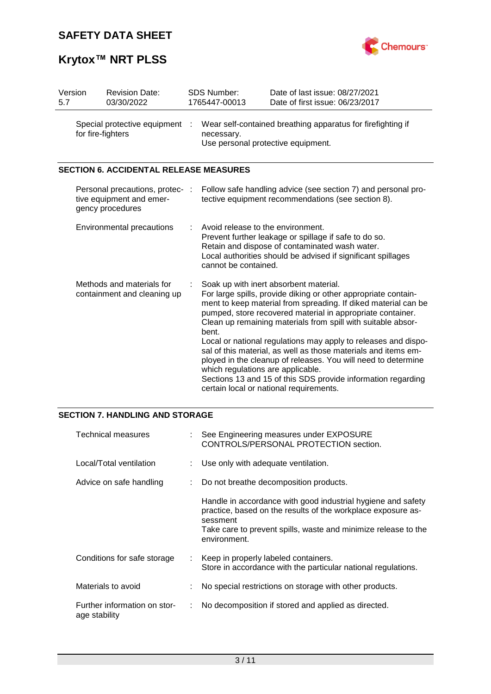

# **Krytox™ NRT PLSS**

| 5.7 | Version | <b>Revision Date:</b><br>03/30/2022                                             |   | SDS Number:<br>1765447-00013                                                                                                                                                                                                                                                                                                                                                                                                                                                                                                                                                                                                                                           | Date of last issue: 08/27/2021<br>Date of first issue: 06/23/2017                                                   |  |
|-----|---------|---------------------------------------------------------------------------------|---|------------------------------------------------------------------------------------------------------------------------------------------------------------------------------------------------------------------------------------------------------------------------------------------------------------------------------------------------------------------------------------------------------------------------------------------------------------------------------------------------------------------------------------------------------------------------------------------------------------------------------------------------------------------------|---------------------------------------------------------------------------------------------------------------------|--|
|     |         | Special protective equipment :<br>for fire-fighters                             |   | Wear self-contained breathing apparatus for firefighting if<br>necessary.<br>Use personal protective equipment.                                                                                                                                                                                                                                                                                                                                                                                                                                                                                                                                                        |                                                                                                                     |  |
|     |         | <b>SECTION 6. ACCIDENTAL RELEASE MEASURES</b>                                   |   |                                                                                                                                                                                                                                                                                                                                                                                                                                                                                                                                                                                                                                                                        |                                                                                                                     |  |
|     |         | Personal precautions, protec- :<br>tive equipment and emer-<br>gency procedures |   |                                                                                                                                                                                                                                                                                                                                                                                                                                                                                                                                                                                                                                                                        | Follow safe handling advice (see section 7) and personal pro-<br>tective equipment recommendations (see section 8). |  |
|     |         | Environmental precautions                                                       | ÷ | Avoid release to the environment.<br>Prevent further leakage or spillage if safe to do so.<br>Retain and dispose of contaminated wash water.<br>Local authorities should be advised if significant spillages<br>cannot be contained.                                                                                                                                                                                                                                                                                                                                                                                                                                   |                                                                                                                     |  |
|     |         | Methods and materials for<br>containment and cleaning up                        |   | Soak up with inert absorbent material.<br>For large spills, provide diking or other appropriate contain-<br>ment to keep material from spreading. If diked material can be<br>pumped, store recovered material in appropriate container.<br>Clean up remaining materials from spill with suitable absor-<br>bent.<br>Local or national regulations may apply to releases and dispo-<br>sal of this material, as well as those materials and items em-<br>ployed in the cleanup of releases. You will need to determine<br>which regulations are applicable.<br>Sections 13 and 15 of this SDS provide information regarding<br>certain local or national requirements. |                                                                                                                     |  |

#### **SECTION 7. HANDLING AND STORAGE**

| Technical measures                            | See Engineering measures under EXPOSURE<br>CONTROLS/PERSONAL PROTECTION section.                                                                                                                                           |  |  |
|-----------------------------------------------|----------------------------------------------------------------------------------------------------------------------------------------------------------------------------------------------------------------------------|--|--|
| Local/Total ventilation                       | Use only with adequate ventilation.                                                                                                                                                                                        |  |  |
| Advice on safe handling                       | Do not breathe decomposition products.                                                                                                                                                                                     |  |  |
|                                               | Handle in accordance with good industrial hygiene and safety<br>practice, based on the results of the workplace exposure as-<br>sessment<br>Take care to prevent spills, waste and minimize release to the<br>environment. |  |  |
| Conditions for safe storage                   | Keep in properly labeled containers.<br>Store in accordance with the particular national regulations.                                                                                                                      |  |  |
| Materials to avoid                            | No special restrictions on storage with other products.                                                                                                                                                                    |  |  |
| Further information on stor-<br>age stability | No decomposition if stored and applied as directed.                                                                                                                                                                        |  |  |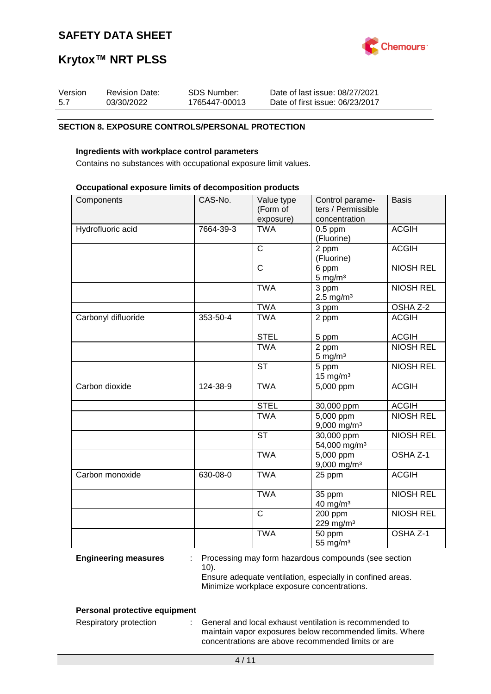

# **Krytox™ NRT PLSS**

| Version | <b>Revision Date:</b> | SDS Number:   | Date of last issue: 08/27/2021  |
|---------|-----------------------|---------------|---------------------------------|
| 5.7     | 03/30/2022            | 1765447-00013 | Date of first issue: 06/23/2017 |

#### **SECTION 8. EXPOSURE CONTROLS/PERSONAL PROTECTION**

#### **Ingredients with workplace control parameters**

Contains no substances with occupational exposure limit values.

#### **Occupational exposure limits of decomposition products**

| Components          | CAS-No.   | Value type<br>(Form of<br>exposure) | Control parame-<br>ters / Permissible<br>concentration | <b>Basis</b>     |
|---------------------|-----------|-------------------------------------|--------------------------------------------------------|------------------|
| Hydrofluoric acid   | 7664-39-3 | <b>TWA</b>                          | $0.5$ ppm<br>(Fluorine)                                | <b>ACGIH</b>     |
|                     |           | $\overline{C}$                      | 2 ppm<br>(Fluorine)                                    | <b>ACGIH</b>     |
|                     |           | $\overline{C}$                      | 6 ppm<br>$5 \text{ mg/m}^3$                            | <b>NIOSH REL</b> |
|                     |           | <b>TWA</b>                          | 3 ppm<br>$2.5 \text{ mg/m}^3$                          | <b>NIOSH REL</b> |
|                     |           | <b>TWA</b>                          | 3 ppm                                                  | OSHA Z-2         |
| Carbonyl difluoride | 353-50-4  | <b>TWA</b>                          | 2 ppm                                                  | <b>ACGIH</b>     |
|                     |           | <b>STEL</b>                         | 5 ppm                                                  | <b>ACGIH</b>     |
|                     |           | <b>TWA</b>                          | 2 ppm<br>$5 \text{ mg/m}^3$                            | <b>NIOSH REL</b> |
|                     |           | $\overline{\text{ST}}$              | 5 ppm<br>$15$ mg/m <sup>3</sup>                        | <b>NIOSH REL</b> |
| Carbon dioxide      | 124-38-9  | <b>TWA</b>                          | 5,000 ppm                                              | <b>ACGIH</b>     |
|                     |           | <b>STEL</b>                         | 30,000 ppm                                             | <b>ACGIH</b>     |
|                     |           | <b>TWA</b>                          | $\overline{5,000}$ ppm<br>9,000 mg/m <sup>3</sup>      | <b>NIOSH REL</b> |
|                     |           | <b>ST</b>                           | 30,000 ppm<br>54,000 mg/m <sup>3</sup>                 | <b>NIOSH REL</b> |
|                     |           | <b>TWA</b>                          | 5,000 ppm<br>9,000 mg/m <sup>3</sup>                   | OSHA Z-1         |
| Carbon monoxide     | 630-08-0  | <b>TWA</b>                          | 25 ppm                                                 | <b>ACGIH</b>     |
|                     |           | <b>TWA</b>                          | 35 ppm<br>40 mg/m <sup>3</sup>                         | <b>NIOSH REL</b> |
|                     |           | $\overline{C}$                      | 200 ppm<br>229 mg/m <sup>3</sup>                       | <b>NIOSH REL</b> |
|                     |           | <b>TWA</b>                          | 50 ppm<br>55 mg/m <sup>3</sup>                         | OSHA Z-1         |

**Engineering measures** : Processing may form hazardous compounds (see section 10).

Ensure adequate ventilation, especially in confined areas. Minimize workplace exposure concentrations.

#### **Personal protective equipment**

Respiratory protection : General and local exhaust ventilation is recommended to maintain vapor exposures below recommended limits. Where concentrations are above recommended limits or are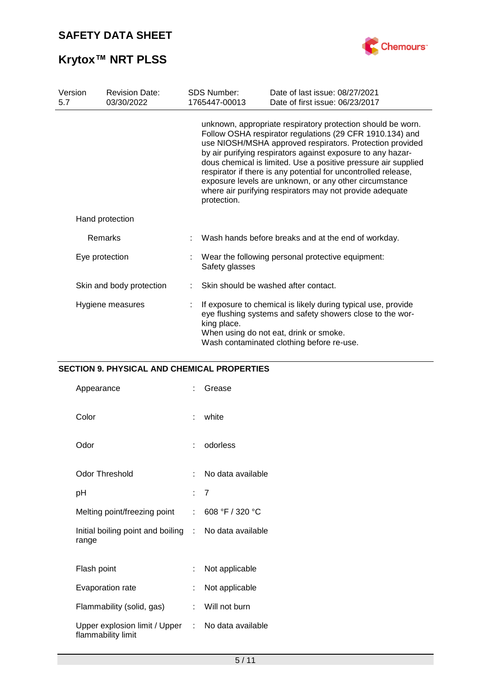

# **Krytox™ NRT PLSS**

| Version<br>5.7 | <b>Revision Date:</b><br>03/30/2022 | <b>SDS Number:</b><br>1765447-00013                                                                                                                                                                                                                                                                                                                                                                                                                                                                                         | Date of last issue: 08/27/2021<br>Date of first issue: 06/23/2017                                                                                                                                                 |  |  |  |
|----------------|-------------------------------------|-----------------------------------------------------------------------------------------------------------------------------------------------------------------------------------------------------------------------------------------------------------------------------------------------------------------------------------------------------------------------------------------------------------------------------------------------------------------------------------------------------------------------------|-------------------------------------------------------------------------------------------------------------------------------------------------------------------------------------------------------------------|--|--|--|
|                |                                     | unknown, appropriate respiratory protection should be worn.<br>Follow OSHA respirator regulations (29 CFR 1910.134) and<br>use NIOSH/MSHA approved respirators. Protection provided<br>by air purifying respirators against exposure to any hazar-<br>dous chemical is limited. Use a positive pressure air supplied<br>respirator if there is any potential for uncontrolled release,<br>exposure levels are unknown, or any other circumstance<br>where air purifying respirators may not provide adequate<br>protection. |                                                                                                                                                                                                                   |  |  |  |
|                | Hand protection                     |                                                                                                                                                                                                                                                                                                                                                                                                                                                                                                                             |                                                                                                                                                                                                                   |  |  |  |
|                | Remarks                             |                                                                                                                                                                                                                                                                                                                                                                                                                                                                                                                             | Wash hands before breaks and at the end of workday.                                                                                                                                                               |  |  |  |
| Eye protection |                                     | Safety glasses                                                                                                                                                                                                                                                                                                                                                                                                                                                                                                              | Wear the following personal protective equipment:                                                                                                                                                                 |  |  |  |
|                | Skin and body protection            |                                                                                                                                                                                                                                                                                                                                                                                                                                                                                                                             | Skin should be washed after contact.                                                                                                                                                                              |  |  |  |
|                | Hygiene measures                    | king place.                                                                                                                                                                                                                                                                                                                                                                                                                                                                                                                 | If exposure to chemical is likely during typical use, provide<br>eye flushing systems and safety showers close to the wor-<br>When using do not eat, drink or smoke.<br>Wash contaminated clothing before re-use. |  |  |  |

### **SECTION 9. PHYSICAL AND CHEMICAL PROPERTIES**

| Appearance                                                     | t.           | Grease            |
|----------------------------------------------------------------|--------------|-------------------|
| Color                                                          | <b>P.</b> 10 | white             |
| Odor                                                           | t.           | odorless          |
| <b>Odor Threshold</b>                                          | t.           | No data available |
| рH                                                             |              | : 7               |
| Melting point/freezing point                                   | t.           | 608 °F / 320 °C   |
| Initial boiling point and boiling : No data available<br>range |              |                   |
| Flash point                                                    | ÷            | Not applicable    |
| Evaporation rate                                               |              | Not applicable    |
| Flammability (solid, gas)                                      | t.           | Will not burn     |
| Upper explosion limit / Upper :<br>flammability limit          |              | No data available |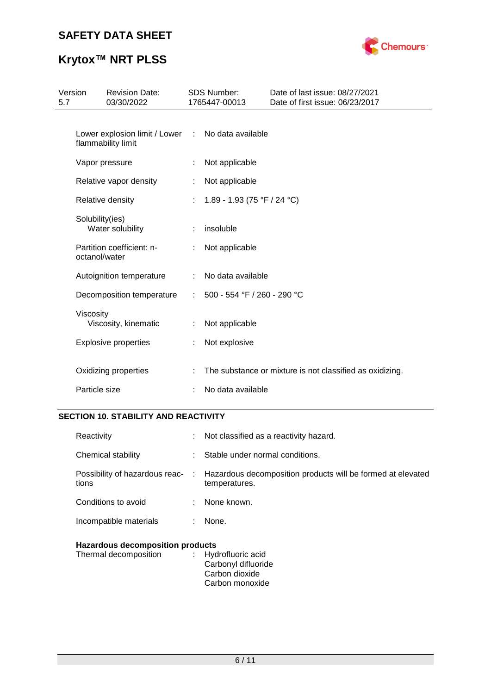

# **Krytox™ NRT PLSS**

| Version<br>5.7 |                 | <b>Revision Date:</b><br>03/30/2022                                     |   | <b>SDS Number:</b><br>1765447-00013 | Date of last issue: 08/27/2021<br>Date of first issue: 06/23/2017 |
|----------------|-----------------|-------------------------------------------------------------------------|---|-------------------------------------|-------------------------------------------------------------------|
|                |                 | Lower explosion limit / Lower : No data available<br>flammability limit |   |                                     |                                                                   |
|                |                 | Vapor pressure                                                          |   | Not applicable                      |                                                                   |
|                |                 | Relative vapor density                                                  |   | Not applicable                      |                                                                   |
|                |                 | Relative density                                                        |   | 1.89 - 1.93 (75 °F / 24 °C)         |                                                                   |
|                | Solubility(ies) | Water solubility                                                        |   | insoluble                           |                                                                   |
|                | octanol/water   | Partition coefficient: n-                                               |   | Not applicable                      |                                                                   |
|                |                 | Autoignition temperature                                                | ÷ | No data available                   |                                                                   |
|                |                 | Decomposition temperature                                               |   | 500 - 554 °F / 260 - 290 °C         |                                                                   |
|                | Viscosity       | Viscosity, kinematic                                                    |   | Not applicable                      |                                                                   |
|                |                 | <b>Explosive properties</b>                                             |   | Not explosive                       |                                                                   |
|                |                 | Oxidizing properties                                                    |   |                                     | The substance or mixture is not classified as oxidizing.          |
|                | Particle size   |                                                                         |   | No data available                   |                                                                   |
|                |                 |                                                                         |   |                                     |                                                                   |

### **SECTION 10. STABILITY AND REACTIVITY**

| Reactivity                              |        | Not classified as a reactivity hazard.                                       |
|-----------------------------------------|--------|------------------------------------------------------------------------------|
| Chemical stability                      |        | Stable under normal conditions.                                              |
| Possibility of hazardous reac-<br>tions | $\sim$ | Hazardous decomposition products will be formed at elevated<br>temperatures. |
| Conditions to avoid                     |        | None known.                                                                  |
| Incompatible materials                  |        | None.                                                                        |
|                                         |        |                                                                              |

### **Hazardous decomposition products**

| Thermal decomposition | : Hydrofluoric acid |
|-----------------------|---------------------|
|                       | Carbonyl difluoride |
|                       | Carbon dioxide      |
|                       | Carbon monoxide     |
|                       |                     |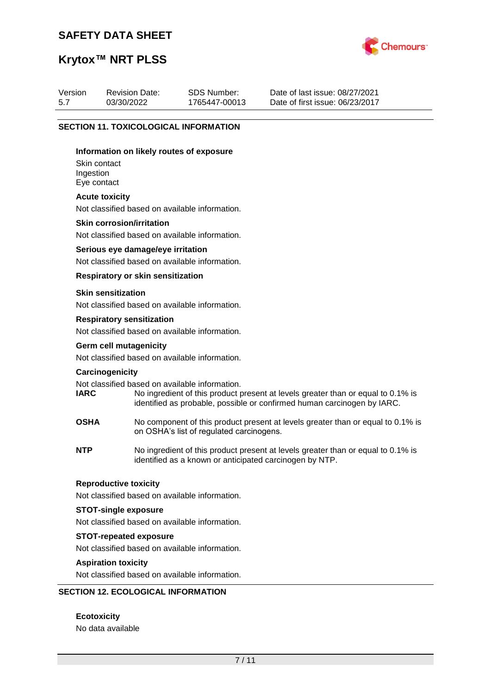

# **Krytox™ NRT PLSS**

| Version | <b>Revision Date:</b> | SDS Number:   | Date of last issue: 08/27/2021  |
|---------|-----------------------|---------------|---------------------------------|
| 5.7     | 03/30/2022            | 1765447-00013 | Date of first issue: 06/23/2017 |

#### **SECTION 11. TOXICOLOGICAL INFORMATION**

#### **Information on likely routes of exposure**

Skin contact Ingestion Eye contact

#### **Acute toxicity**

Not classified based on available information.

#### **Skin corrosion/irritation**

Not classified based on available information.

#### **Serious eye damage/eye irritation**

Not classified based on available information.

#### **Respiratory or skin sensitization**

#### **Skin sensitization**

Not classified based on available information.

#### **Respiratory sensitization**

Not classified based on available information.

# **Germ cell mutagenicity**

Not classified based on available information.

#### **Carcinogenicity**

Not classified based on available information.<br> **IARC** No ingredient of this product to

- No ingredient of this product present at levels greater than or equal to 0.1% is identified as probable, possible or confirmed human carcinogen by IARC.
- **OSHA** No component of this product present at levels greater than or equal to 0.1% is on OSHA's list of regulated carcinogens.
- **NTP** No ingredient of this product present at levels greater than or equal to 0.1% is identified as a known or anticipated carcinogen by NTP.

#### **Reproductive toxicity**

Not classified based on available information.

#### **STOT-single exposure**

Not classified based on available information.

#### **STOT-repeated exposure**

Not classified based on available information.

#### **Aspiration toxicity**

Not classified based on available information.

#### **SECTION 12. ECOLOGICAL INFORMATION**

**Ecotoxicity** No data available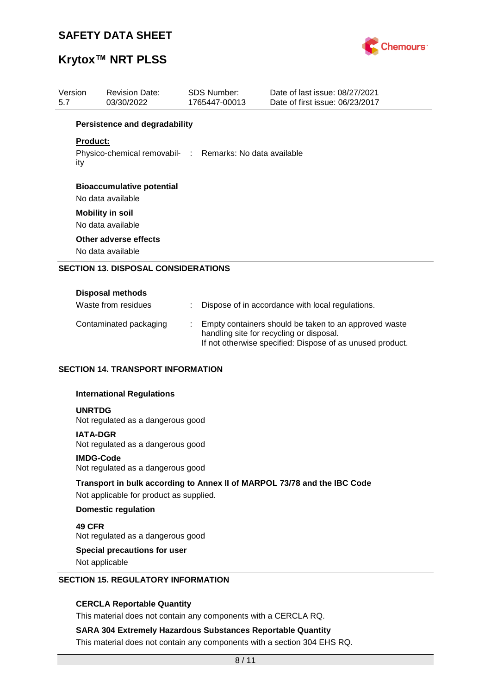

# **Krytox™ NRT PLSS**

| Version<br>5.7 |                         | <b>Revision Date:</b><br>03/30/2022                      |  | SDS Number:<br>1765447-00013 | Date of last issue: 08/27/2021<br>Date of first issue: 06/23/2017 |
|----------------|-------------------------|----------------------------------------------------------|--|------------------------------|-------------------------------------------------------------------|
|                |                         | <b>Persistence and degradability</b>                     |  |                              |                                                                   |
|                | Product:                | Physico-chemical removabil- : Remarks: No data available |  |                              |                                                                   |
|                | ity                     |                                                          |  |                              |                                                                   |
|                |                         | <b>Bioaccumulative potential</b>                         |  |                              |                                                                   |
|                |                         | No data available                                        |  |                              |                                                                   |
|                | <b>Mobility in soil</b> |                                                          |  |                              |                                                                   |
|                | No data available       |                                                          |  |                              |                                                                   |
|                | Other adverse effects   |                                                          |  |                              |                                                                   |
|                | No data available       |                                                          |  |                              |                                                                   |
|                |                         | <b>SECTION 13. DISPOSAL CONSIDERATIONS</b>               |  |                              |                                                                   |
|                |                         | <b>Disposal methods</b>                                  |  |                              |                                                                   |
|                |                         | Waste from residues                                      |  |                              | Dispose of in accordance with local regulations.                  |
|                |                         | Contaminated packaging                                   |  |                              | Empty containers should be taken to an approved waste             |

handling site for recycling or disposal.

If not otherwise specified: Dispose of as unused product.

#### **SECTION 14. TRANSPORT INFORMATION**

#### **International Regulations**

**UNRTDG**

Not regulated as a dangerous good

#### **IATA-DGR**

Not regulated as a dangerous good

#### **IMDG-Code**

Not regulated as a dangerous good

### **Transport in bulk according to Annex II of MARPOL 73/78 and the IBC Code**

Not applicable for product as supplied.

#### **Domestic regulation**

**49 CFR** Not regulated as a dangerous good

#### **Special precautions for user**

Not applicable

#### **SECTION 15. REGULATORY INFORMATION**

#### **CERCLA Reportable Quantity**

This material does not contain any components with a CERCLA RQ.

#### **SARA 304 Extremely Hazardous Substances Reportable Quantity**

This material does not contain any components with a section 304 EHS RQ.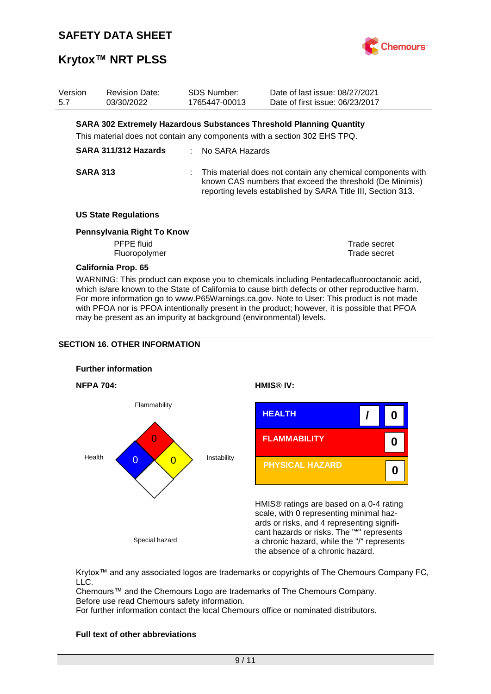

## **Krytox™ NRT PLSS**

| Version<br>5.7                                                                                                                                                                                                                                                                                                                                                                                                                                                                                                                           | <b>Revision Date:</b><br>03/30/2022                                       | <b>SDS Number:</b><br>1765447-00013 | Date of last issue: 08/27/2021<br>Date of first issue: 06/23/2017                                                                                                                       |                              |  |  |
|------------------------------------------------------------------------------------------------------------------------------------------------------------------------------------------------------------------------------------------------------------------------------------------------------------------------------------------------------------------------------------------------------------------------------------------------------------------------------------------------------------------------------------------|---------------------------------------------------------------------------|-------------------------------------|-----------------------------------------------------------------------------------------------------------------------------------------------------------------------------------------|------------------------------|--|--|
|                                                                                                                                                                                                                                                                                                                                                                                                                                                                                                                                          |                                                                           |                                     | <b>SARA 302 Extremely Hazardous Substances Threshold Planning Quantity</b>                                                                                                              |                              |  |  |
|                                                                                                                                                                                                                                                                                                                                                                                                                                                                                                                                          | This material does not contain any components with a section 302 EHS TPQ. |                                     |                                                                                                                                                                                         |                              |  |  |
|                                                                                                                                                                                                                                                                                                                                                                                                                                                                                                                                          | SARA 311/312 Hazards                                                      | No SARA Hazards                     |                                                                                                                                                                                         |                              |  |  |
|                                                                                                                                                                                                                                                                                                                                                                                                                                                                                                                                          | <b>SARA 313</b>                                                           |                                     | This material does not contain any chemical components with<br>known CAS numbers that exceed the threshold (De Minimis)<br>reporting levels established by SARA Title III, Section 313. |                              |  |  |
|                                                                                                                                                                                                                                                                                                                                                                                                                                                                                                                                          | <b>US State Regulations</b>                                               |                                     |                                                                                                                                                                                         |                              |  |  |
|                                                                                                                                                                                                                                                                                                                                                                                                                                                                                                                                          | Pennsylvania Right To Know<br><b>PFPE</b> fluid<br>Fluoropolymer          |                                     |                                                                                                                                                                                         | Trade secret<br>Trade secret |  |  |
| <b>California Prop. 65</b><br>WARNING: This product can expose you to chemicals including Pentadecafluorooctanoic acid,<br>which is/are known to the State of California to cause birth defects or other reproductive harm.<br>For more information go to www.P65Warnings.ca.gov. Note to User: This product is not made<br>with PFOA nor is PFOA intentionally present in the product; however, it is possible that PFOA<br>may be present as an impurity at background (environmental) levels.<br><b>SECTION 16. OTHER INFORMATION</b> |                                                                           |                                     |                                                                                                                                                                                         |                              |  |  |
|                                                                                                                                                                                                                                                                                                                                                                                                                                                                                                                                          | <b>Further information</b>                                                |                                     |                                                                                                                                                                                         |                              |  |  |
|                                                                                                                                                                                                                                                                                                                                                                                                                                                                                                                                          | <b>NFPA 704:</b>                                                          |                                     | HMIS <sup>®</sup> IV:                                                                                                                                                                   |                              |  |  |
| Health                                                                                                                                                                                                                                                                                                                                                                                                                                                                                                                                   | Flammability<br>0<br>U<br>U                                               | Instability                         | <b>HEALTH</b><br><b>FLAMMABILITY</b><br><b>PHYSICAL HAZARD</b>                                                                                                                          | 0<br>0<br>0                  |  |  |
|                                                                                                                                                                                                                                                                                                                                                                                                                                                                                                                                          |                                                                           |                                     | HMIS® ratings are based on a 0-4 rating<br>scale, with 0 representing minimal haz-<br>ards or risks, and 4 representing signifi-                                                        |                              |  |  |

Special hazard

Krytox™ and any associated logos are trademarks or copyrights of The Chemours Company FC, LLC.

cant hazards or risks. The "\*" represents a chronic hazard, while the "/" represents

the absence of a chronic hazard.

Chemours™ and the Chemours Logo are trademarks of The Chemours Company. Before use read Chemours safety information.

For further information contact the local Chemours office or nominated distributors.

#### **Full text of other abbreviations**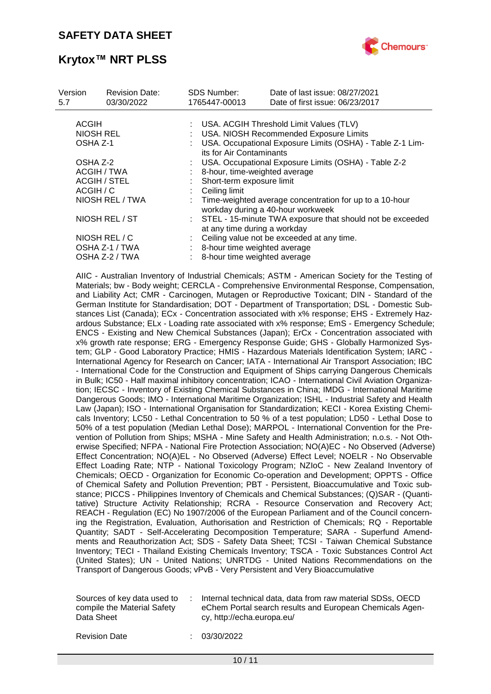

# **Krytox™ NRT PLSS**

| Version<br>5.7  | <b>Revision Date:</b><br>03/30/2022 | <b>SDS Number:</b><br>1765447-00013 | Date of last issue: 08/27/2021<br>Date of first issue: 06/23/2017                              |  |  |
|-----------------|-------------------------------------|-------------------------------------|------------------------------------------------------------------------------------------------|--|--|
|                 |                                     |                                     |                                                                                                |  |  |
| <b>ACGIH</b>    |                                     |                                     | USA. ACGIH Threshold Limit Values (TLV)                                                        |  |  |
|                 | NIOSH REL                           |                                     | USA. NIOSH Recommended Exposure Limits                                                         |  |  |
| OSHA Z-1        |                                     |                                     | USA. Occupational Exposure Limits (OSHA) - Table Z-1 Lim-<br>its for Air Contaminants          |  |  |
| OSHA Z-2        |                                     |                                     | USA. Occupational Exposure Limits (OSHA) - Table Z-2                                           |  |  |
|                 | ACGIH / TWA                         |                                     | 8-hour, time-weighted average                                                                  |  |  |
|                 | <b>ACGIH / STEL</b>                 |                                     | Short-term exposure limit                                                                      |  |  |
| ACGIH / C       |                                     |                                     | Ceiling limit                                                                                  |  |  |
| NIOSH REL / TWA |                                     |                                     | : Time-weighted average concentration for up to a 10-hour<br>workday during a 40-hour workweek |  |  |
| NIOSH REL / ST  |                                     |                                     | STEL - 15-minute TWA exposure that should not be exceeded<br>at any time during a workday      |  |  |
| NIOSH REL / C   |                                     |                                     | Ceiling value not be exceeded at any time.                                                     |  |  |
| OSHA Z-1 / TWA  |                                     |                                     | 8-hour time weighted average                                                                   |  |  |
|                 | OSHA Z-2 / TWA                      |                                     | 8-hour time weighted average                                                                   |  |  |
|                 |                                     |                                     |                                                                                                |  |  |

AIIC - Australian Inventory of Industrial Chemicals; ASTM - American Society for the Testing of Materials; bw - Body weight; CERCLA - Comprehensive Environmental Response, Compensation, and Liability Act; CMR - Carcinogen, Mutagen or Reproductive Toxicant; DIN - Standard of the German Institute for Standardisation; DOT - Department of Transportation; DSL - Domestic Substances List (Canada); ECx - Concentration associated with x% response; EHS - Extremely Hazardous Substance; ELx - Loading rate associated with x% response; EmS - Emergency Schedule; ENCS - Existing and New Chemical Substances (Japan); ErCx - Concentration associated with x% growth rate response; ERG - Emergency Response Guide; GHS - Globally Harmonized System; GLP - Good Laboratory Practice; HMIS - Hazardous Materials Identification System; IARC - International Agency for Research on Cancer; IATA - International Air Transport Association; IBC - International Code for the Construction and Equipment of Ships carrying Dangerous Chemicals in Bulk; IC50 - Half maximal inhibitory concentration; ICAO - International Civil Aviation Organization; IECSC - Inventory of Existing Chemical Substances in China; IMDG - International Maritime Dangerous Goods; IMO - International Maritime Organization; ISHL - Industrial Safety and Health Law (Japan); ISO - International Organisation for Standardization; KECI - Korea Existing Chemicals Inventory; LC50 - Lethal Concentration to 50 % of a test population; LD50 - Lethal Dose to 50% of a test population (Median Lethal Dose); MARPOL - International Convention for the Prevention of Pollution from Ships; MSHA - Mine Safety and Health Administration; n.o.s. - Not Otherwise Specified; NFPA - National Fire Protection Association; NO(A)EC - No Observed (Adverse) Effect Concentration; NO(A)EL - No Observed (Adverse) Effect Level; NOELR - No Observable Effect Loading Rate; NTP - National Toxicology Program; NZIoC - New Zealand Inventory of Chemicals; OECD - Organization for Economic Co-operation and Development; OPPTS - Office of Chemical Safety and Pollution Prevention; PBT - Persistent, Bioaccumulative and Toxic substance; PICCS - Philippines Inventory of Chemicals and Chemical Substances; (Q)SAR - (Quantitative) Structure Activity Relationship; RCRA - Resource Conservation and Recovery Act; REACH - Regulation (EC) No 1907/2006 of the European Parliament and of the Council concerning the Registration, Evaluation, Authorisation and Restriction of Chemicals; RQ - Reportable Quantity; SADT - Self-Accelerating Decomposition Temperature; SARA - Superfund Amendments and Reauthorization Act; SDS - Safety Data Sheet; TCSI - Taiwan Chemical Substance Inventory; TECI - Thailand Existing Chemicals Inventory; TSCA - Toxic Substances Control Act (United States); UN - United Nations; UNRTDG - United Nations Recommendations on the Transport of Dangerous Goods; vPvB - Very Persistent and Very Bioaccumulative

| Internal technical data, data from raw material SDSs, OECD<br>Sources of key data used to<br>compile the Material Safety<br>eChem Portal search results and European Chemicals Agen- |
|--------------------------------------------------------------------------------------------------------------------------------------------------------------------------------------|
| Data Sheet<br>cy, http://echa.europa.eu/                                                                                                                                             |
|                                                                                                                                                                                      |

Revision Date : 03/30/2022